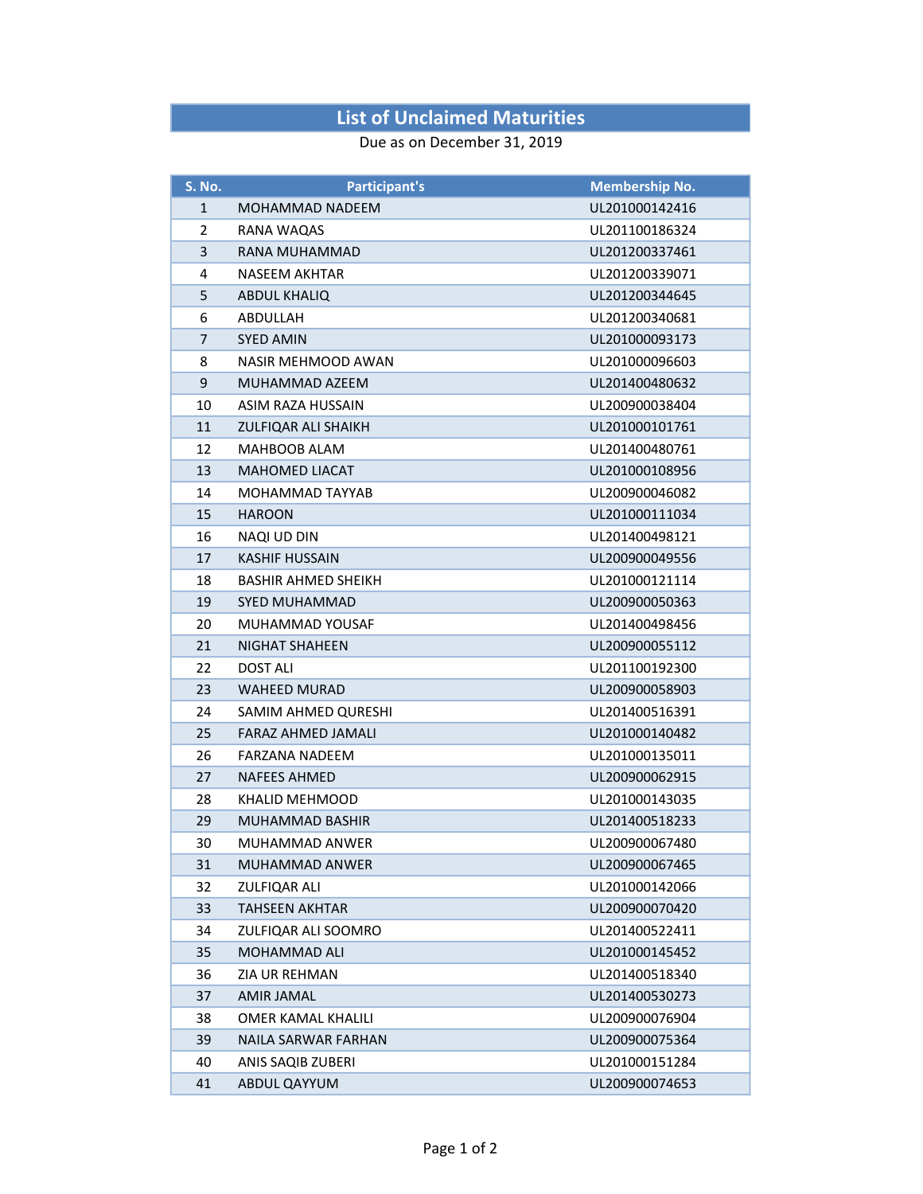# List of Unclaimed Maturities

### Due as on December 31, 2019

| <b>S. No.</b>  | <b>Participant's</b>       | <b>Membership No.</b> |
|----------------|----------------------------|-----------------------|
| $\mathbf{1}$   | MOHAMMAD NADEEM            | UL201000142416        |
| 2              | <b>RANA WAQAS</b>          | UL201100186324        |
| 3              | RANA MUHAMMAD              | UL201200337461        |
| 4              | <b>NASEEM AKHTAR</b>       | UL201200339071        |
| 5              | ABDUL KHALIQ               | UL201200344645        |
| 6              | ABDULLAH                   | UL201200340681        |
| $\overline{7}$ | <b>SYED AMIN</b>           | UL201000093173        |
| 8              | <b>NASIR MEHMOOD AWAN</b>  | UL201000096603        |
| 9              | MUHAMMAD AZEEM             | UL201400480632        |
| 10             | ASIM RAZA HUSSAIN          | UL200900038404        |
| 11             | <b>ZULFIQAR ALI SHAIKH</b> | UL201000101761        |
| 12             | MAHBOOB ALAM               | UL201400480761        |
| 13             | <b>MAHOMED LIACAT</b>      | UL201000108956        |
| 14             | MOHAMMAD TAYYAB            | UL200900046082        |
| 15             | <b>HAROON</b>              | UL201000111034        |
| 16             | NAQI UD DIN                | UL201400498121        |
| 17             | <b>KASHIF HUSSAIN</b>      | UL200900049556        |
| 18             | <b>BASHIR AHMED SHEIKH</b> | UL201000121114        |
| 19             | SYED MUHAMMAD              | UL200900050363        |
| 20             | MUHAMMAD YOUSAF            | UL201400498456        |
| 21             | <b>NIGHAT SHAHEEN</b>      | UL200900055112        |
| 22             | <b>DOST ALI</b>            | UL201100192300        |
| 23             | <b>WAHEED MURAD</b>        | UL200900058903        |
| 24             | SAMIM AHMED QURESHI        | UL201400516391        |
| 25             | <b>FARAZ AHMED JAMALI</b>  | UL201000140482        |
| 26             | FARZANA NADEEM             | UL201000135011        |
| 27             | <b>NAFEES AHMED</b>        | UL200900062915        |
| 28             | KHALID MEHMOOD             | UL201000143035        |
| 29             | <b>MUHAMMAD BASHIR</b>     | UL201400518233        |
| 30             | MUHAMMAD ANWER             | UL200900067480        |
| 31             | MUHAMMAD ANWER             | UL200900067465        |
| 32             | ZULFIQAR ALI               | UL201000142066        |
| 33             | <b>TAHSEEN AKHTAR</b>      | UL200900070420        |
| 34             | ZULFIQAR ALI SOOMRO        | UL201400522411        |
| 35             | MOHAMMAD ALI               | UL201000145452        |
| 36             | ZIA UR REHMAN              | UL201400518340        |
| 37             | AMIR JAMAL                 | UL201400530273        |
| 38             | <b>OMER KAMAL KHALILI</b>  | UL200900076904        |
| 39             | <b>NAILA SARWAR FARHAN</b> | UL200900075364        |
| 40             | ANIS SAQIB ZUBERI          | UL201000151284        |
| 41             | <b>ABDUL QAYYUM</b>        | UL200900074653        |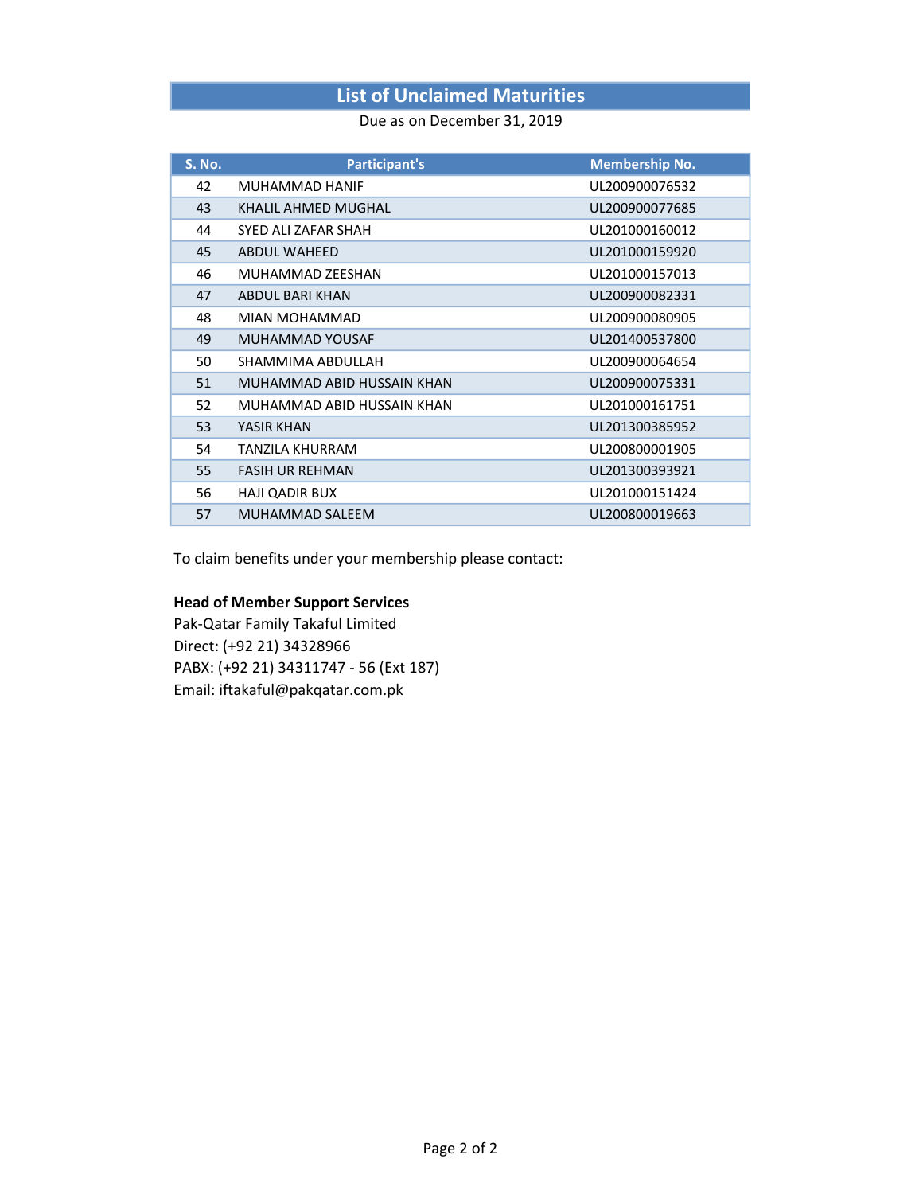## List of Unclaimed Maturities

Due as on December 31, 2019

| <b>S. No.</b> | Participant's              | <b>Membership No.</b> |
|---------------|----------------------------|-----------------------|
| 42            | <b>MUHAMMAD HANIF</b>      | UL200900076532        |
| 43            | KHALIL AHMED MUGHAL        | UL200900077685        |
| 44            | SYED ALI ZAFAR SHAH        | UL201000160012        |
| 45            | <b>ABDUL WAHEED</b>        | UL201000159920        |
| 46            | MUHAMMAD ZEESHAN           | UL201000157013        |
| 47            | <b>ABDUL BARI KHAN</b>     | UL200900082331        |
| 48            | MIAN MOHAMMAD              | UL200900080905        |
| 49            | <b>MUHAMMAD YOUSAF</b>     | UL201400537800        |
| 50            | SHAMMIMA ABDULLAH          | UL200900064654        |
| 51            | MUHAMMAD ABID HUSSAIN KHAN | UL200900075331        |
| 52            | MUHAMMAD ABID HUSSAIN KHAN | UL201000161751        |
| 53            | YASIR KHAN                 | UL201300385952        |
| 54            | <b>TANZILA KHURRAM</b>     | UL200800001905        |
| 55            | <b>FASIH UR REHMAN</b>     | UL201300393921        |
| 56            | <b>HAJI QADIR BUX</b>      | UL201000151424        |
| 57            | <b>MUHAMMAD SALEEM</b>     | UL200800019663        |

To claim benefits under your membership please contact:

#### Head of Member Support Services

Pak-Qatar Family Takaful Limited Direct: (+92 21) 34328966 PABX: (+92 21) 34311747 - 56 (Ext 187) Email: iftakaful@pakqatar.com.pk